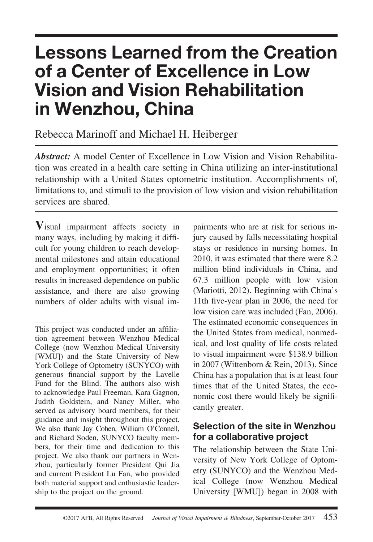# **Lessons Learned from the Creation of a Center of Excellence in Low Vision and Vision Rehabilitation in Wenzhou, China**

# Rebecca Marinoff and Michael H. Heiberger

*Abstract:* A model Center of Excellence in Low Vision and Vision Rehabilitation was created in a health care setting in China utilizing an inter-institutional relationship with a United States optometric institution. Accomplishments of, limitations to, and stimuli to the provision of low vision and vision rehabilitation services are shared.

**V**isual impairment affects society in many ways, including by making it difficult for young children to reach developmental milestones and attain educational and employment opportunities; it often results in increased dependence on public assistance, and there are also growing numbers of older adults with visual im-

pairments who are at risk for serious injury caused by falls necessitating hospital stays or residence in nursing homes. In 2010, it was estimated that there were 8.2 million blind individuals in China, and 67.3 million people with low vision (Mariotti, 2012). Beginning with China's 11th five-year plan in 2006, the need for low vision care was included (Fan, 2006). The estimated economic consequences in the United States from medical, nonmedical, and lost quality of life costs related to visual impairment were \$138.9 billion in 2007 (Wittenborn & Rein, 2013). Since China has a population that is at least four times that of the United States, the economic cost there would likely be significantly greater.

## **Selection of the site in Wenzhou for a collaborative project**

The relationship between the State University of New York College of Optometry (SUNYCO) and the Wenzhou Medical College (now Wenzhou Medical University [WMU]) began in 2008 with

This project was conducted under an affiliation agreement between Wenzhou Medical College (now Wenzhou Medical University [WMU]) and the State University of New York College of Optometry (SUNYCO) with generous financial support by the Lavelle Fund for the Blind. The authors also wish to acknowledge Paul Freeman, Kara Gagnon, Judith Goldstein, and Nancy Miller, who served as advisory board members, for their guidance and insight throughout this project. We also thank Jay Cohen, William O'Connell, and Richard Soden, SUNYCO faculty members, for their time and dedication to this project. We also thank our partners in Wenzhou, particularly former President Qui Jia and current President Lu Fan, who provided both material support and enthusiastic leadership to the project on the ground.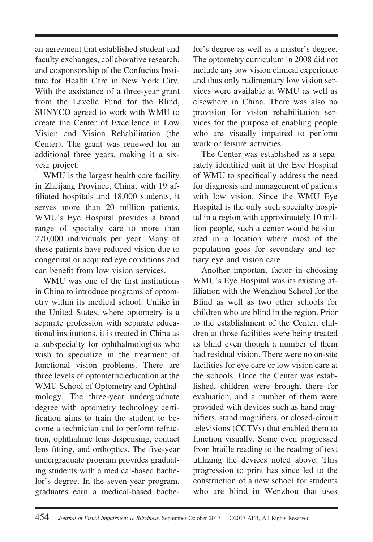an agreement that established student and faculty exchanges, collaborative research, and cosponsorship of the Confucius Institute for Health Care in New York City. With the assistance of a three-year grant from the Lavelle Fund for the Blind, SUNYCO agreed to work with WMU to create the Center of Excellence in Low Vision and Vision Rehabilitation (the Center). The grant was renewed for an additional three years, making it a sixyear project.

WMU is the largest health care facility in Zheijang Province, China; with 19 affiliated hospitals and 18,000 students, it serves more than 20 million patients. WMU's Eye Hospital provides a broad range of specialty care to more than 270,000 individuals per year. Many of these patients have reduced vision due to congenital or acquired eye conditions and can benefit from low vision services.

WMU was one of the first institutions in China to introduce programs of optometry within its medical school. Unlike in the United States, where optometry is a separate profession with separate educational institutions, it is treated in China as a subspecialty for ophthalmologists who wish to specialize in the treatment of functional vision problems. There are three levels of optometric education at the WMU School of Optometry and Ophthalmology. The three-year undergraduate degree with optometry technology certification aims to train the student to become a technician and to perform refraction, ophthalmic lens dispensing, contact lens fitting, and orthoptics. The five-year undergraduate program provides graduating students with a medical-based bachelor's degree. In the seven-year program, graduates earn a medical-based bache-

lor's degree as well as a master's degree. The optometry curriculum in 2008 did not include any low vision clinical experience and thus only rudimentary low vision services were available at WMU as well as elsewhere in China. There was also no provision for vision rehabilitation services for the purpose of enabling people who are visually impaired to perform work or leisure activities.

The Center was established as a separately identified unit at the Eye Hospital of WMU to specifically address the need for diagnosis and management of patients with low vision. Since the WMU Eye Hospital is the only such specialty hospital in a region with approximately 10 million people, such a center would be situated in a location where most of the population goes for secondary and tertiary eye and vision care.

Another important factor in choosing WMU's Eye Hospital was its existing affiliation with the Wenzhou School for the Blind as well as two other schools for children who are blind in the region. Prior to the establishment of the Center, children at those facilities were being treated as blind even though a number of them had residual vision. There were no on-site facilities for eye care or low vision care at the schools. Once the Center was established, children were brought there for evaluation, and a number of them were provided with devices such as hand magnifiers, stand magnifiers, or closed-circuit televisions (CCTVs) that enabled them to function visually. Some even progressed from braille reading to the reading of text utilizing the devices noted above. This progression to print has since led to the construction of a new school for students who are blind in Wenzhou that uses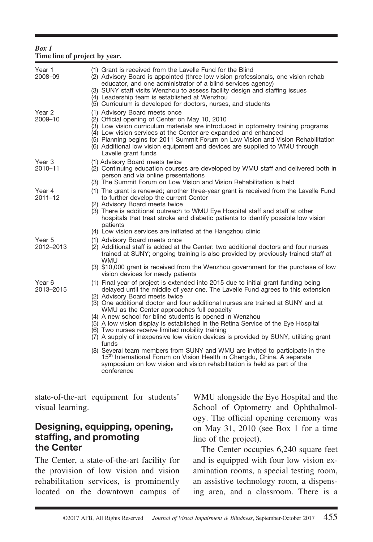#### *Box 1* **Time line of project by year.**

| Year 1<br>2008-09   | (1) Grant is received from the Lavelle Fund for the Blind<br>(2) Advisory Board is appointed (three low vision professionals, one vision rehab<br>educator, and one administrator of a blind services agency)<br>(3) SUNY staff visits Wenzhou to assess facility design and staffing issues<br>(4) Leadership team is established at Wenzhou<br>(5) Curriculum is developed for doctors, nurses, and students                                                                                                                                                                                                                                                                                                                                                                                                                                                                                                 |
|---------------------|----------------------------------------------------------------------------------------------------------------------------------------------------------------------------------------------------------------------------------------------------------------------------------------------------------------------------------------------------------------------------------------------------------------------------------------------------------------------------------------------------------------------------------------------------------------------------------------------------------------------------------------------------------------------------------------------------------------------------------------------------------------------------------------------------------------------------------------------------------------------------------------------------------------|
| Year 2<br>2009-10   | (1) Advisory Board meets once<br>(2) Official opening of Center on May 10, 2010<br>(3) Low vision curriculum materials are introduced in optometry training programs<br>(4) Low vision services at the Center are expanded and enhanced<br>(5) Planning begins for 2011 Summit Forum on Low Vision and Vision Rehabilitation<br>(6) Additional low vision equipment and devices are supplied to WMU through<br>Lavelle grant funds                                                                                                                                                                                                                                                                                                                                                                                                                                                                             |
| Year 3<br>2010-11   | (1) Advisory Board meets twice<br>(2) Continuing education courses are developed by WMU staff and delivered both in<br>person and via online presentations<br>(3) The Summit Forum on Low Vision and Vision Rehabilitation is held                                                                                                                                                                                                                                                                                                                                                                                                                                                                                                                                                                                                                                                                             |
| Year 4<br>2011-12   | (1) The grant is renewed; another three-year grant is received from the Lavelle Fund<br>to further develop the current Center<br>(2) Advisory Board meets twice<br>(3) There is additional outreach to WMU Eye Hospital staff and staff at other<br>hospitals that treat stroke and diabetic patients to identify possible low vision<br>patients<br>(4) Low vision services are initiated at the Hangzhou clinic                                                                                                                                                                                                                                                                                                                                                                                                                                                                                              |
| Year 5<br>2012-2013 | (1) Advisory Board meets once<br>(2) Additional staff is added at the Center: two additional doctors and four nurses<br>trained at SUNY; ongoing training is also provided by previously trained staff at<br><b>WMU</b><br>(3) \$10,000 grant is received from the Wenzhou government for the purchase of low<br>vision devices for needy patients                                                                                                                                                                                                                                                                                                                                                                                                                                                                                                                                                             |
| Year 6<br>2013-2015 | (1) Final year of project is extended into 2015 due to initial grant funding being<br>delayed until the middle of year one. The Lavelle Fund agrees to this extension<br>(2) Advisory Board meets twice<br>(3) One additional doctor and four additional nurses are trained at SUNY and at<br>WMU as the Center approaches full capacity<br>(4) A new school for blind students is opened in Wenzhou<br>(5) A low vision display is established in the Retina Service of the Eye Hospital<br>(6) Two nurses receive limited mobility training<br>(7) A supply of inexpensive low vision devices is provided by SUNY, utilizing grant<br>funds<br>(8) Several team members from SUNY and WMU are invited to participate in the<br>15 <sup>th</sup> International Forum on Vision Health in Chengdu, China. A separate<br>symposium on low vision and vision rehabilitation is held as part of the<br>conference |

state-of-the-art equipment for students' visual learning.

#### **Designing, equipping, opening, staffing, and promoting the Center**

The Center, a state-of-the-art facility for the provision of low vision and vision rehabilitation services, is prominently located on the downtown campus of

WMU alongside the Eye Hospital and the School of Optometry and Ophthalmology. The official opening ceremony was on May 31, 2010 (see Box 1 for a time line of the project).

The Center occupies 6,240 square feet and is equipped with four low vision examination rooms, a special testing room, an assistive technology room, a dispensing area, and a classroom. There is a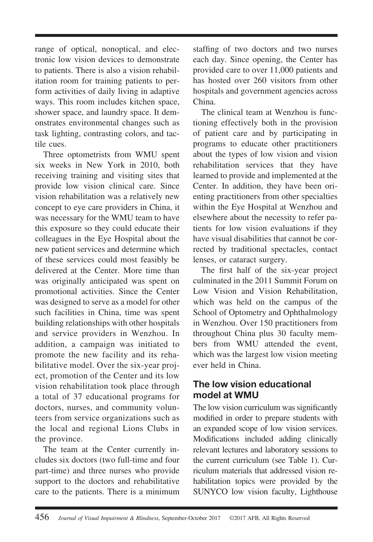range of optical, nonoptical, and electronic low vision devices to demonstrate to patients. There is also a vision rehabilitation room for training patients to perform activities of daily living in adaptive ways. This room includes kitchen space, shower space, and laundry space. It demonstrates environmental changes such as task lighting, contrasting colors, and tactile cues.

Three optometrists from WMU spent six weeks in New York in 2010, both receiving training and visiting sites that provide low vision clinical care. Since vision rehabilitation was a relatively new concept to eye care providers in China, it was necessary for the WMU team to have this exposure so they could educate their colleagues in the Eye Hospital about the new patient services and determine which of these services could most feasibly be delivered at the Center. More time than was originally anticipated was spent on promotional activities. Since the Center was designed to serve as a model for other such facilities in China, time was spent building relationships with other hospitals and service providers in Wenzhou. In addition, a campaign was initiated to promote the new facility and its rehabilitative model. Over the six-year project, promotion of the Center and its low vision rehabilitation took place through a total of 37 educational programs for doctors, nurses, and community volunteers from service organizations such as the local and regional Lions Clubs in the province.

The team at the Center currently includes six doctors (two full-time and four part-time) and three nurses who provide support to the doctors and rehabilitative care to the patients. There is a minimum staffing of two doctors and two nurses each day. Since opening, the Center has provided care to over 11,000 patients and has hosted over 260 visitors from other hospitals and government agencies across China.

The clinical team at Wenzhou is functioning effectively both in the provision of patient care and by participating in programs to educate other practitioners about the types of low vision and vision rehabilitation services that they have learned to provide and implemented at the Center. In addition, they have been orienting practitioners from other specialties within the Eye Hospital at Wenzhou and elsewhere about the necessity to refer patients for low vision evaluations if they have visual disabilities that cannot be corrected by traditional spectacles, contact lenses, or cataract surgery.

The first half of the six-year project culminated in the 2011 Summit Forum on Low Vision and Vision Rehabilitation, which was held on the campus of the School of Optometry and Ophthalmology in Wenzhou. Over 150 practitioners from throughout China plus 30 faculty members from WMU attended the event, which was the largest low vision meeting ever held in China.

#### **The low vision educational model at WMU**

The low vision curriculum was significantly modified in order to prepare students with an expanded scope of low vision services. Modifications included adding clinically relevant lectures and laboratory sessions to the current curriculum (see Table 1). Curriculum materials that addressed vision rehabilitation topics were provided by the SUNYCO low vision faculty, Lighthouse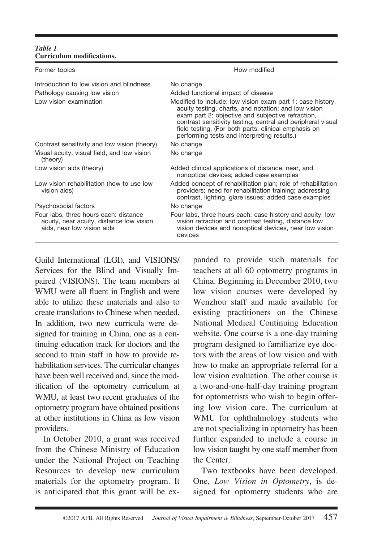| Former topics                                                                                                   | How modified                                                                                                                                                                                                                                                                                                                                  |  |
|-----------------------------------------------------------------------------------------------------------------|-----------------------------------------------------------------------------------------------------------------------------------------------------------------------------------------------------------------------------------------------------------------------------------------------------------------------------------------------|--|
| Introduction to low vision and blindness                                                                        | No change                                                                                                                                                                                                                                                                                                                                     |  |
| Pathology causing low vision                                                                                    | Added functional impact of disease                                                                                                                                                                                                                                                                                                            |  |
| Low vision examination                                                                                          | Modified to include: low vision exam part 1: case history,<br>acuity testing, charts, and notation; and low vision<br>exam part 2: objective and subjective refraction,<br>contrast sensitivity testing, central and peripheral visual<br>field testing. (For both parts, clinical emphasis on<br>performing tests and interpreting results.) |  |
| Contrast sensitivity and low vision (theory)                                                                    | No change                                                                                                                                                                                                                                                                                                                                     |  |
| Visual acuity, visual field, and low vision<br>(theory)                                                         | No change                                                                                                                                                                                                                                                                                                                                     |  |
| Low vision aids (theory)                                                                                        | Added clinical applications of distance, near, and<br>nonoptical devices; added case examples                                                                                                                                                                                                                                                 |  |
| Low vision rehabilitation (how to use low<br>vision aids)                                                       | Added concept of rehabilitation plan; role of rehabilitation<br>providers; need for rehabilitation training; addressing<br>contrast, lighting, glare issues; added case examples                                                                                                                                                              |  |
| Psychosocial factors                                                                                            | No change                                                                                                                                                                                                                                                                                                                                     |  |
| Four labs, three hours each: distance<br>acuity, near acuity, distance low vision<br>aids, near low vision aids | Four labs, three hours each: case history and acuity, low<br>vision refraction and contrast testing, distance low<br>vision devices and nonoptical devices, near low vision<br>devices                                                                                                                                                        |  |

*Table 1* **Curriculum modifications.**

Guild International (LGI), and VISIONS/ Services for the Blind and Visually Impaired (VISIONS). The team members at WMU were all fluent in English and were able to utilize these materials and also to create translations to Chinese when needed. In addition, two new curricula were designed for training in China, one as a continuing education track for doctors and the second to train staff in how to provide rehabilitation services. The curricular changes have been well received and, since the modification of the optometry curriculum at WMU, at least two recent graduates of the optometry program have obtained positions at other institutions in China as low vision providers.

In October 2010, a grant was received from the Chinese Ministry of Education under the National Project on Teaching Resources to develop new curriculum materials for the optometry program. It is anticipated that this grant will be expanded to provide such materials for teachers at all 60 optometry programs in China. Beginning in December 2010, two low vision courses were developed by Wenzhou staff and made available for existing practitioners on the Chinese National Medical Continuing Education website. One course is a one-day training program designed to familiarize eye doctors with the areas of low vision and with how to make an appropriate referral for a low vision evaluation. The other course is a two-and-one-half-day training program for optometrists who wish to begin offering low vision care. The curriculum at WMU for ophthalmology students who are not specializing in optometry has been further expanded to include a course in low vision taught by one staff member from the Center.

Two textbooks have been developed. One, *Low Vision in Optometry*, is designed for optometry students who are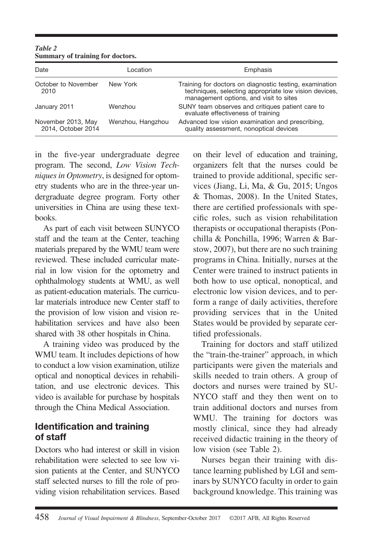| Date                                     | Location          | Emphasis                                                                                                                                                   |  |  |
|------------------------------------------|-------------------|------------------------------------------------------------------------------------------------------------------------------------------------------------|--|--|
| October to November<br>2010              | New York          | Training for doctors on diagnostic testing, examination<br>techniques, selecting appropriate low vision devices,<br>management options, and visit to sites |  |  |
| January 2011                             | Wenzhou           | SUNY team observes and critiques patient care to<br>evaluate effectiveness of training                                                                     |  |  |
| November 2013, May<br>2014. October 2014 | Wenzhou, Hangzhou | Advanced low vision examination and prescribing,<br>quality assessment, nonoptical devices                                                                 |  |  |
|                                          |                   |                                                                                                                                                            |  |  |

*Table 2* **Summary of training for doctors.**

in the five-year undergraduate degree program. The second, *Low Vision Techniques in Optometry*, is designed for optometry students who are in the three-year undergraduate degree program. Forty other universities in China are using these textbooks.

As part of each visit between SUNYCO staff and the team at the Center, teaching materials prepared by the WMU team were reviewed. These included curricular material in low vision for the optometry and ophthalmology students at WMU, as well as patient-education materials. The curricular materials introduce new Center staff to the provision of low vision and vision rehabilitation services and have also been shared with 38 other hospitals in China.

A training video was produced by the WMU team. It includes depictions of how to conduct a low vision examination, utilize optical and nonoptical devices in rehabilitation, and use electronic devices. This video is available for purchase by hospitals through the China Medical Association.

#### **Identification and training of staff**

Doctors who had interest or skill in vision rehabilitation were selected to see low vision patients at the Center, and SUNYCO staff selected nurses to fill the role of providing vision rehabilitation services. Based on their level of education and training, organizers felt that the nurses could be trained to provide additional, specific services (Jiang, Li, Ma, & Gu, 2015; Ungos & Thomas, 2008). In the United States, there are certified professionals with specific roles, such as vision rehabilitation therapists or occupational therapists (Ponchilla & Ponchilla, 1996; Warren & Barstow, 2007), but there are no such training programs in China. Initially, nurses at the Center were trained to instruct patients in both how to use optical, nonoptical, and electronic low vision devices, and to perform a range of daily activities, therefore providing services that in the United States would be provided by separate certified professionals.

Training for doctors and staff utilized the "train-the-trainer" approach, in which participants were given the materials and skills needed to train others. A group of doctors and nurses were trained by SU-NYCO staff and they then went on to train additional doctors and nurses from WMU. The training for doctors was mostly clinical, since they had already received didactic training in the theory of low vision (see Table 2).

Nurses began their training with distance learning published by LGI and seminars by SUNYCO faculty in order to gain background knowledge. This training was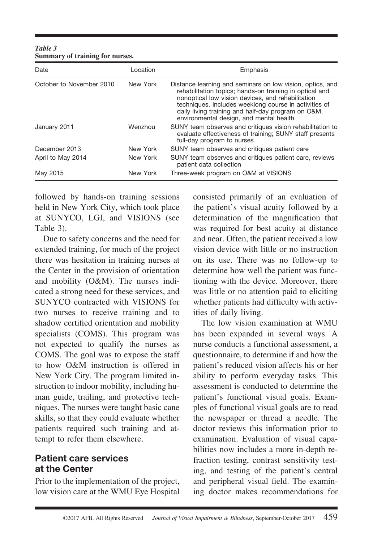*Table 3* **Summary of training for nurses.**

| Date                     | Location | Emphasis                                                                                                                                                                                                                                                                                                                            |
|--------------------------|----------|-------------------------------------------------------------------------------------------------------------------------------------------------------------------------------------------------------------------------------------------------------------------------------------------------------------------------------------|
| October to November 2010 | New York | Distance learning and seminars on low vision, optics, and<br>rehabilitation topics; hands-on training in optical and<br>nonoptical low vision devices, and rehabilitation<br>techniques. Includes weeklong course in activities of<br>daily living training and half-day program on O&M,<br>environmental design, and mental health |
| January 2011             | Wenzhou  | SUNY team observes and critiques vision rehabilitation to<br>evaluate effectiveness of training; SUNY staff presents<br>full-day program to nurses                                                                                                                                                                                  |
| December 2013            | New York | SUNY team observes and critiques patient care                                                                                                                                                                                                                                                                                       |
| April to May 2014        | New York | SUNY team observes and critiques patient care, reviews<br>patient data collection                                                                                                                                                                                                                                                   |
| May 2015                 | New York | Three-week program on O&M at VISIONS                                                                                                                                                                                                                                                                                                |

followed by hands-on training sessions held in New York City, which took place at SUNYCO, LGI, and VISIONS (see Table 3).

Due to safety concerns and the need for extended training, for much of the project there was hesitation in training nurses at the Center in the provision of orientation and mobility (O&M). The nurses indicated a strong need for these services, and SUNYCO contracted with VISIONS for two nurses to receive training and to shadow certified orientation and mobility specialists (COMS). This program was not expected to qualify the nurses as COMS. The goal was to expose the staff to how O&M instruction is offered in New York City. The program limited instruction to indoor mobility, including human guide, trailing, and protective techniques. The nurses were taught basic cane skills, so that they could evaluate whether patients required such training and attempt to refer them elsewhere.

### **Patient care services at the Center**

Prior to the implementation of the project, low vision care at the WMU Eye Hospital

consisted primarily of an evaluation of the patient's visual acuity followed by a determination of the magnification that was required for best acuity at distance and near. Often, the patient received a low vision device with little or no instruction on its use. There was no follow-up to determine how well the patient was functioning with the device. Moreover, there was little or no attention paid to eliciting whether patients had difficulty with activities of daily living.

The low vision examination at WMU has been expanded in several ways. A nurse conducts a functional assessment, a questionnaire, to determine if and how the patient's reduced vision affects his or her ability to perform everyday tasks. This assessment is conducted to determine the patient's functional visual goals. Examples of functional visual goals are to read the newspaper or thread a needle. The doctor reviews this information prior to examination. Evaluation of visual capabilities now includes a more in-depth refraction testing, contrast sensitivity testing, and testing of the patient's central and peripheral visual field. The examining doctor makes recommendations for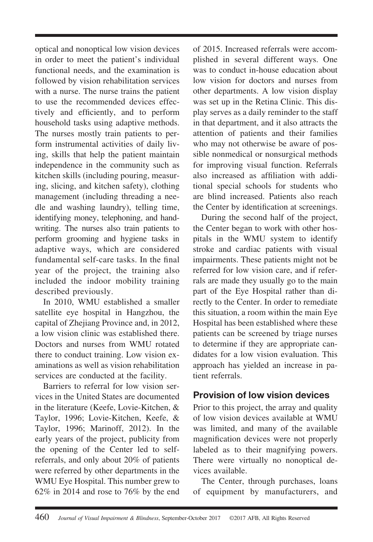optical and nonoptical low vision devices in order to meet the patient's individual functional needs, and the examination is followed by vision rehabilitation services with a nurse. The nurse trains the patient to use the recommended devices effectively and efficiently, and to perform household tasks using adaptive methods. The nurses mostly train patients to perform instrumental activities of daily living, skills that help the patient maintain independence in the community such as kitchen skills (including pouring, measuring, slicing, and kitchen safety), clothing management (including threading a needle and washing laundry), telling time, identifying money, telephoning, and handwriting. The nurses also train patients to perform grooming and hygiene tasks in adaptive ways, which are considered fundamental self-care tasks. In the final year of the project, the training also included the indoor mobility training described previously.

In 2010, WMU established a smaller satellite eye hospital in Hangzhou, the capital of Zhejiang Province and, in 2012, a low vision clinic was established there. Doctors and nurses from WMU rotated there to conduct training. Low vision examinations as well as vision rehabilitation services are conducted at the facility.

Barriers to referral for low vision services in the United States are documented in the literature (Keefe, Lovie-Kitchen, & Taylor, 1996; Lovie-Kitchen, Keefe, & Taylor, 1996; Marinoff, 2012). In the early years of the project, publicity from the opening of the Center led to selfreferrals, and only about 20% of patients were referred by other departments in the WMU Eye Hospital. This number grew to 62% in 2014 and rose to 76% by the end

of 2015. Increased referrals were accomplished in several different ways. One was to conduct in-house education about low vision for doctors and nurses from other departments. A low vision display was set up in the Retina Clinic. This display serves as a daily reminder to the staff in that department, and it also attracts the attention of patients and their families who may not otherwise be aware of possible nonmedical or nonsurgical methods for improving visual function. Referrals also increased as affiliation with additional special schools for students who are blind increased. Patients also reach the Center by identification at screenings.

During the second half of the project, the Center began to work with other hospitals in the WMU system to identify stroke and cardiac patients with visual impairments. These patients might not be referred for low vision care, and if referrals are made they usually go to the main part of the Eye Hospital rather than directly to the Center. In order to remediate this situation, a room within the main Eye Hospital has been established where these patients can be screened by triage nurses to determine if they are appropriate candidates for a low vision evaluation. This approach has yielded an increase in patient referrals.

#### **Provision of low vision devices**

Prior to this project, the array and quality of low vision devices available at WMU was limited, and many of the available magnification devices were not properly labeled as to their magnifying powers. There were virtually no nonoptical devices available.

The Center, through purchases, loans of equipment by manufacturers, and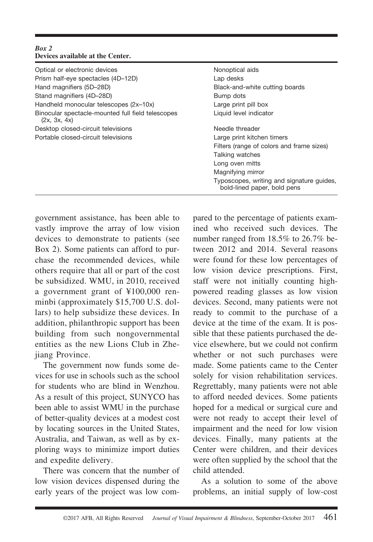#### *Box 2* **Devices available at the Center.**

| Optical or electronic devices                                     | Nonoptical aids                                                          |
|-------------------------------------------------------------------|--------------------------------------------------------------------------|
| Prism half-eye spectacles (4D-12D)                                | Lap desks                                                                |
| Hand magnifiers (5D-28D)                                          | Black-and-white cutting boards                                           |
| Stand magnifiers (4D-28D)                                         | Bump dots                                                                |
| Handheld monocular telescopes (2x-10x)                            | Large print pill box                                                     |
| Binocular spectacle-mounted full field telescopes<br>(2x, 3x, 4x) | Liquid level indicator                                                   |
| Desktop closed-circuit televisions                                | Needle threader                                                          |
| Portable closed-circuit televisions                               | Large print kitchen timers                                               |
|                                                                   | Filters (range of colors and frame sizes)                                |
|                                                                   | Talking watches                                                          |
|                                                                   | Long oven mitts                                                          |
|                                                                   | Magnifying mirror                                                        |
|                                                                   | Typoscopes, writing and signature guides,<br>bold-lined paper, bold pens |

government assistance, has been able to vastly improve the array of low vision devices to demonstrate to patients (see Box 2). Some patients can afford to purchase the recommended devices, while others require that all or part of the cost be subsidized. WMU, in 2010, received a government grant of ¥100,000 renminbi (approximately \$15,700 U.S. dollars) to help subsidize these devices. In addition, philanthropic support has been building from such nongovernmental entities as the new Lions Club in Zhejiang Province.

The government now funds some devices for use in schools such as the school for students who are blind in Wenzhou. As a result of this project, SUNYCO has been able to assist WMU in the purchase of better-quality devices at a modest cost by locating sources in the United States, Australia, and Taiwan, as well as by exploring ways to minimize import duties and expedite delivery.

There was concern that the number of low vision devices dispensed during the early years of the project was low compared to the percentage of patients examined who received such devices. The number ranged from 18.5% to 26.7% between 2012 and 2014. Several reasons were found for these low percentages of low vision device prescriptions. First, staff were not initially counting highpowered reading glasses as low vision devices. Second, many patients were not ready to commit to the purchase of a device at the time of the exam. It is possible that these patients purchased the device elsewhere, but we could not confirm whether or not such purchases were made. Some patients came to the Center solely for vision rehabilitation services. Regrettably, many patients were not able to afford needed devices. Some patients hoped for a medical or surgical cure and were not ready to accept their level of impairment and the need for low vision devices. Finally, many patients at the Center were children, and their devices were often supplied by the school that the child attended.

As a solution to some of the above problems, an initial supply of low-cost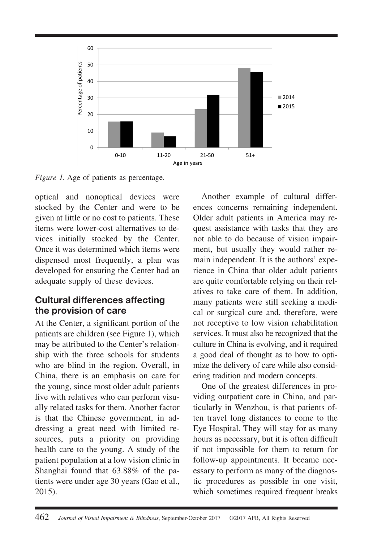

*Figure 1.* Age of patients as percentage.

optical and nonoptical devices were stocked by the Center and were to be given at little or no cost to patients. These items were lower-cost alternatives to devices initially stocked by the Center. Once it was determined which items were dispensed most frequently, a plan was developed for ensuring the Center had an adequate supply of these devices.

#### **Cultural differences affecting the provision of care**

At the Center, a significant portion of the patients are children (see Figure 1), which may be attributed to the Center's relationship with the three schools for students who are blind in the region. Overall, in China, there is an emphasis on care for the young, since most older adult patients live with relatives who can perform visually related tasks for them. Another factor is that the Chinese government, in addressing a great need with limited resources, puts a priority on providing health care to the young. A study of the patient population at a low vision clinic in Shanghai found that 63.88% of the patients were under age 30 years (Gao et al., 2015).

Another example of cultural differences concerns remaining independent. Older adult patients in America may request assistance with tasks that they are not able to do because of vision impairment, but usually they would rather remain independent. It is the authors' experience in China that older adult patients are quite comfortable relying on their relatives to take care of them. In addition, many patients were still seeking a medical or surgical cure and, therefore, were not receptive to low vision rehabilitation services. It must also be recognized that the culture in China is evolving, and it required a good deal of thought as to how to optimize the delivery of care while also considering tradition and modern concepts.

One of the greatest differences in providing outpatient care in China, and particularly in Wenzhou, is that patients often travel long distances to come to the Eye Hospital. They will stay for as many hours as necessary, but it is often difficult if not impossible for them to return for follow-up appointments. It became necessary to perform as many of the diagnostic procedures as possible in one visit, which sometimes required frequent breaks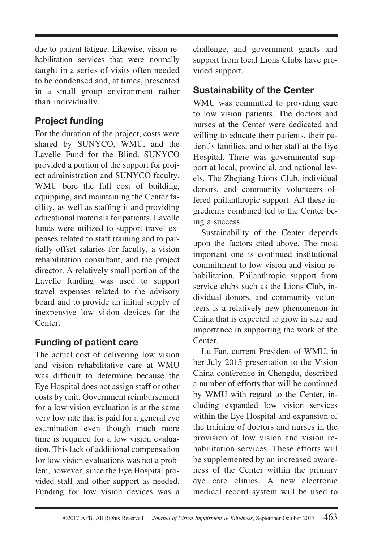due to patient fatigue. Likewise, vision rehabilitation services that were normally taught in a series of visits often needed to be condensed and, at times, presented in a small group environment rather than individually.

# **Project funding**

For the duration of the project, costs were shared by SUNYCO, WMU, and the Lavelle Fund for the Blind. SUNYCO provided a portion of the support for project administration and SUNYCO faculty. WMU bore the full cost of building, equipping, and maintaining the Center facility, as well as staffing it and providing educational materials for patients. Lavelle funds were utilized to support travel expenses related to staff training and to partially offset salaries for faculty, a vision rehabilitation consultant, and the project director. A relatively small portion of the Lavelle funding was used to support travel expenses related to the advisory board and to provide an initial supply of inexpensive low vision devices for the Center.

# **Funding of patient care**

The actual cost of delivering low vision and vision rehabilitative care at WMU was difficult to determine because the Eye Hospital does not assign staff or other costs by unit. Government reimbursement for a low vision evaluation is at the same very low rate that is paid for a general eye examination even though much more time is required for a low vision evaluation. This lack of additional compensation for low vision evaluations was not a problem, however, since the Eye Hospital provided staff and other support as needed. Funding for low vision devices was a challenge, and government grants and support from local Lions Clubs have provided support.

## **Sustainability of the Center**

WMU was committed to providing care to low vision patients. The doctors and nurses at the Center were dedicated and willing to educate their patients, their patient's families, and other staff at the Eye Hospital. There was governmental support at local, provincial, and national levels. The Zhejiang Lions Club, individual donors, and community volunteers offered philanthropic support. All these ingredients combined led to the Center being a success.

Sustainability of the Center depends upon the factors cited above. The most important one is continued institutional commitment to low vision and vision rehabilitation. Philanthropic support from service clubs such as the Lions Club, individual donors, and community volunteers is a relatively new phenomenon in China that is expected to grow in size and importance in supporting the work of the Center.

Lu Fan, current President of WMU, in her July 2015 presentation to the Vision China conference in Chengdu, described a number of efforts that will be continued by WMU with regard to the Center, including expanded low vision services within the Eye Hospital and expansion of the training of doctors and nurses in the provision of low vision and vision rehabilitation services. These efforts will be supplemented by an increased awareness of the Center within the primary eye care clinics. A new electronic medical record system will be used to